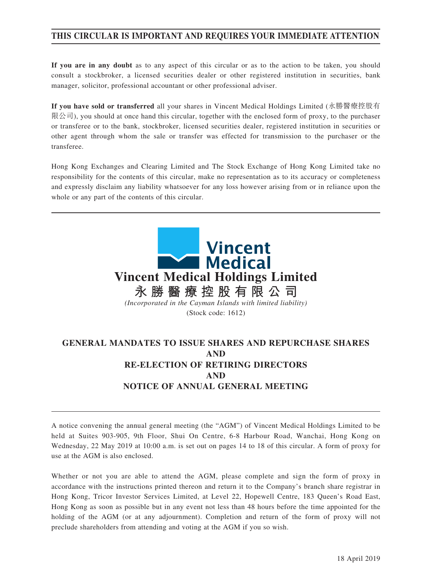# **THIS CIRCULAR IS IMPORTANT AND REQUIRES YOUR IMMEDIATE ATTENTION**

**If you are in any doubt** as to any aspect of this circular or as to the action to be taken, you should consult a stockbroker, a licensed securities dealer or other registered institution in securities, bank manager, solicitor, professional accountant or other professional adviser.

**If you have sold or transferred** all your shares in Vincent Medical Holdings Limited (永勝醫療控股有 限公司), you should at once hand this circular, together with the enclosed form of proxy, to the purchaser or transferee or to the bank, stockbroker, licensed securities dealer, registered institution in securities or other agent through whom the sale or transfer was effected for transmission to the purchaser or the transferee.

Hong Kong Exchanges and Clearing Limited and The Stock Exchange of Hong Kong Limited take no responsibility for the contents of this circular, make no representation as to its accuracy or completeness and expressly disclaim any liability whatsoever for any loss however arising from or in reliance upon the whole or any part of the contents of this circular.



# **GENERAL MANDATES TO ISSUE SHARES AND REPURCHASE SHARES AND RE-ELECTION OF RETIRING DIRECTORS AND NOTICE OF ANNUAL GENERAL MEETING**

A notice convening the annual general meeting (the "AGM") of Vincent Medical Holdings Limited to be held at Suites 903-905, 9th Floor, Shui On Centre, 6-8 Harbour Road, Wanchai, Hong Kong on Wednesday, 22 May 2019 at 10:00 a.m. is set out on pages 14 to 18 of this circular. A form of proxy for use at the AGM is also enclosed.

Whether or not you are able to attend the AGM, please complete and sign the form of proxy in accordance with the instructions printed thereon and return it to the Company's branch share registrar in Hong Kong, Tricor Investor Services Limited, at Level 22, Hopewell Centre, 183 Queen's Road East, Hong Kong as soon as possible but in any event not less than 48 hours before the time appointed for the holding of the AGM (or at any adjournment). Completion and return of the form of proxy will not preclude shareholders from attending and voting at the AGM if you so wish.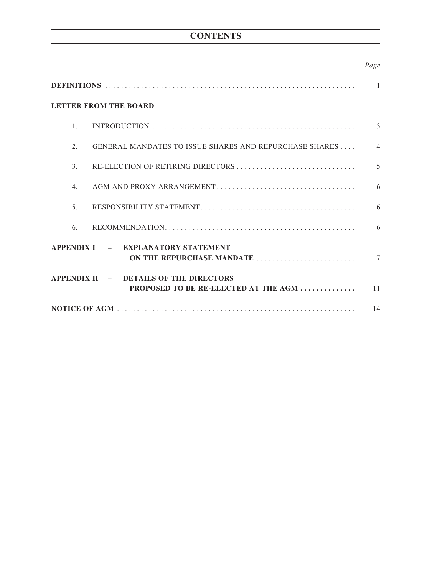# **CONTENTS**

## *Page*

|                  | <b>LETTER FROM THE BOARD</b>                                                   |                |  |  |
|------------------|--------------------------------------------------------------------------------|----------------|--|--|
| $\mathbf{1}$     |                                                                                | 3              |  |  |
| 2.               | GENERAL MANDATES TO ISSUE SHARES AND REPURCHASE SHARES                         | $\overline{4}$ |  |  |
| 3.               | RE-ELECTION OF RETIRING DIRECTORS                                              | 5              |  |  |
| $\overline{4}$ . |                                                                                | 6              |  |  |
| 5 <sub>1</sub>   |                                                                                | 6              |  |  |
| 6.               |                                                                                | 6              |  |  |
|                  | APPENDIX I - EXPLANATORY STATEMENT<br>ON THE REPURCHASE MANDATE                | $\tau$         |  |  |
|                  | APPENDIX II - DETAILS OF THE DIRECTORS<br>PROPOSED TO BE RE-ELECTED AT THE AGM | 11             |  |  |
| 14               |                                                                                |                |  |  |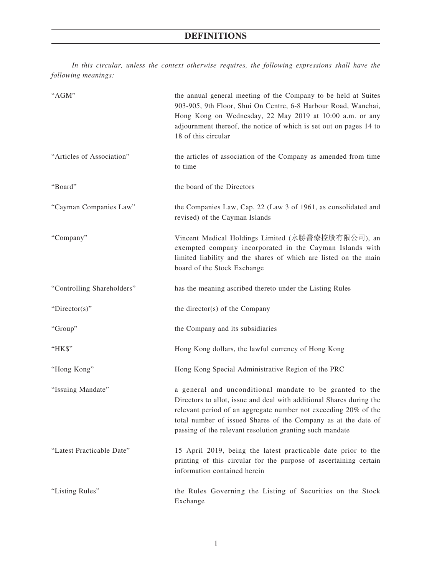# **DEFINITIONS**

*In this circular, unless the context otherwise requires, the following expressions shall have the following meanings:*

| "AGM"                      | the annual general meeting of the Company to be held at Suites<br>903-905, 9th Floor, Shui On Centre, 6-8 Harbour Road, Wanchai,<br>Hong Kong on Wednesday, 22 May 2019 at 10:00 a.m. or any<br>adjournment thereof, the notice of which is set out on pages 14 to<br>18 of this circular                                         |
|----------------------------|-----------------------------------------------------------------------------------------------------------------------------------------------------------------------------------------------------------------------------------------------------------------------------------------------------------------------------------|
| "Articles of Association"  | the articles of association of the Company as amended from time<br>to time                                                                                                                                                                                                                                                        |
| "Board"                    | the board of the Directors                                                                                                                                                                                                                                                                                                        |
| "Cayman Companies Law"     | the Companies Law, Cap. 22 (Law 3 of 1961, as consolidated and<br>revised) of the Cayman Islands                                                                                                                                                                                                                                  |
| "Company"                  | Vincent Medical Holdings Limited (永勝醫療控股有限公司), an<br>exempted company incorporated in the Cayman Islands with<br>limited liability and the shares of which are listed on the main<br>board of the Stock Exchange                                                                                                                  |
| "Controlling Shareholders" | has the meaning ascribed thereto under the Listing Rules                                                                                                                                                                                                                                                                          |
| "Director(s)"              | the director(s) of the Company                                                                                                                                                                                                                                                                                                    |
| "Group"                    | the Company and its subsidiaries                                                                                                                                                                                                                                                                                                  |
| "HK\$"                     | Hong Kong dollars, the lawful currency of Hong Kong                                                                                                                                                                                                                                                                               |
| "Hong Kong"                | Hong Kong Special Administrative Region of the PRC                                                                                                                                                                                                                                                                                |
| "Issuing Mandate"          | a general and unconditional mandate to be granted to the<br>Directors to allot, issue and deal with additional Shares during the<br>relevant period of an aggregate number not exceeding 20% of the<br>total number of issued Shares of the Company as at the date of<br>passing of the relevant resolution granting such mandate |
| "Latest Practicable Date"  | 15 April 2019, being the latest practicable date prior to the<br>printing of this circular for the purpose of ascertaining certain<br>information contained herein                                                                                                                                                                |
| "Listing Rules"            | the Rules Governing the Listing of Securities on the Stock<br>Exchange                                                                                                                                                                                                                                                            |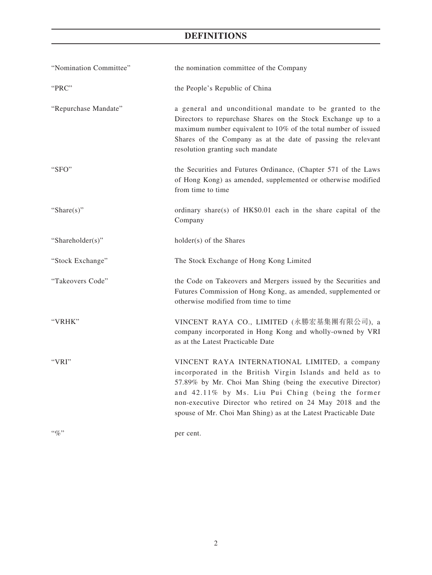# **DEFINITIONS**

| "Nomination Committee" | the nomination committee of the Company                                                                                                                                                                                                                                                                                                                        |  |  |
|------------------------|----------------------------------------------------------------------------------------------------------------------------------------------------------------------------------------------------------------------------------------------------------------------------------------------------------------------------------------------------------------|--|--|
| "PRC"                  | the People's Republic of China                                                                                                                                                                                                                                                                                                                                 |  |  |
| "Repurchase Mandate"   | a general and unconditional mandate to be granted to the<br>Directors to repurchase Shares on the Stock Exchange up to a<br>maximum number equivalent to 10% of the total number of issued<br>Shares of the Company as at the date of passing the relevant<br>resolution granting such mandate                                                                 |  |  |
| "SFO"                  | the Securities and Futures Ordinance, (Chapter 571 of the Laws<br>of Hong Kong) as amended, supplemented or otherwise modified<br>from time to time                                                                                                                                                                                                            |  |  |
| "Share $(s)$ "         | ordinary share(s) of HK\$0.01 each in the share capital of the<br>Company                                                                                                                                                                                                                                                                                      |  |  |
| "Shareholder(s)"       | holder(s) of the Shares                                                                                                                                                                                                                                                                                                                                        |  |  |
| "Stock Exchange"       | The Stock Exchange of Hong Kong Limited                                                                                                                                                                                                                                                                                                                        |  |  |
| "Takeovers Code"       | the Code on Takeovers and Mergers issued by the Securities and<br>Futures Commission of Hong Kong, as amended, supplemented or<br>otherwise modified from time to time                                                                                                                                                                                         |  |  |
| "VRHK"                 | VINCENT RAYA CO., LIMITED (永勝宏基集團有限公司), a<br>company incorporated in Hong Kong and wholly-owned by VRI<br>as at the Latest Practicable Date                                                                                                                                                                                                                    |  |  |
| "VRI"                  | VINCENT RAYA INTERNATIONAL LIMITED, a company<br>incorporated in the British Virgin Islands and held as to<br>57.89% by Mr. Choi Man Shing (being the executive Director)<br>and 42.11% by Ms. Liu Pui Ching (being the former<br>non-executive Director who retired on 24 May 2018 and the<br>spouse of Mr. Choi Man Shing) as at the Latest Practicable Date |  |  |
| $``\%"$                | per cent.                                                                                                                                                                                                                                                                                                                                                      |  |  |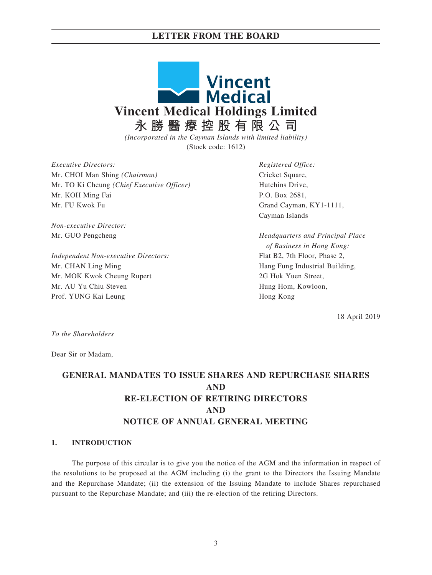## **LETTER FROM THE BOARD**



*(Incorporated in the Cayman Islands with limited liability)* (Stock code: 1612)

*Executive Directors:* Mr. CHOI Man Shing *(Chairman)*  Mr. TO Ki Cheung *(Chief Executive Officer)*  Mr. KOH Ming Fai Mr. FU Kwok Fu

*Non-executive Director:*  Mr. GUO Pengcheng

*Independent Non-executive Directors:*  Mr. CHAN Ling Ming Mr. MOK Kwok Cheung Rupert Mr. AU Yu Chiu Steven Prof. YUNG Kai Leung

*Registered Office:*  Cricket Square, Hutchins Drive, P.O. Box 2681, Grand Cayman, KY1-1111, Cayman Islands

*Headquarters and Principal Place of Business in Hong Kong:* Flat B2, 7th Floor, Phase 2, Hang Fung Industrial Building, 2G Hok Yuen Street, Hung Hom, Kowloon, Hong Kong

18 April 2019

*To the Shareholders*

Dear Sir or Madam,

# **GENERAL MANDATES TO ISSUE SHARES AND REPURCHASE SHARES AND RE-ELECTION OF RETIRING DIRECTORS AND NOTICE OF ANNUAL GENERAL MEETING**

#### **1. INTRODUCTION**

The purpose of this circular is to give you the notice of the AGM and the information in respect of the resolutions to be proposed at the AGM including (i) the grant to the Directors the Issuing Mandate and the Repurchase Mandate; (ii) the extension of the Issuing Mandate to include Shares repurchased pursuant to the Repurchase Mandate; and (iii) the re-election of the retiring Directors.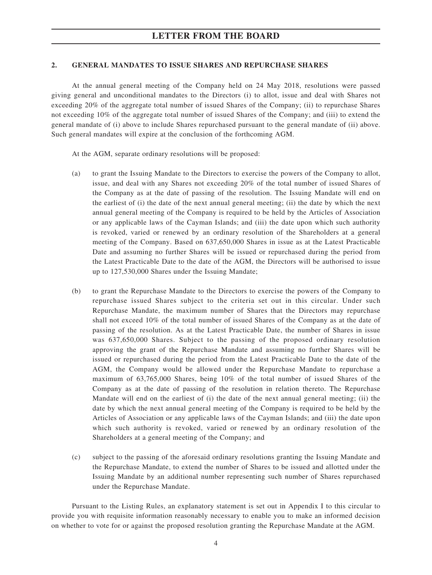#### **2. GENERAL MANDATES TO ISSUE SHARES AND REPURCHASE SHARES**

At the annual general meeting of the Company held on 24 May 2018, resolutions were passed giving general and unconditional mandates to the Directors (i) to allot, issue and deal with Shares not exceeding 20% of the aggregate total number of issued Shares of the Company; (ii) to repurchase Shares not exceeding 10% of the aggregate total number of issued Shares of the Company; and (iii) to extend the general mandate of (i) above to include Shares repurchased pursuant to the general mandate of (ii) above. Such general mandates will expire at the conclusion of the forthcoming AGM.

At the AGM, separate ordinary resolutions will be proposed:

- (a) to grant the Issuing Mandate to the Directors to exercise the powers of the Company to allot, issue, and deal with any Shares not exceeding 20% of the total number of issued Shares of the Company as at the date of passing of the resolution. The Issuing Mandate will end on the earliest of (i) the date of the next annual general meeting; (ii) the date by which the next annual general meeting of the Company is required to be held by the Articles of Association or any applicable laws of the Cayman Islands; and (iii) the date upon which such authority is revoked, varied or renewed by an ordinary resolution of the Shareholders at a general meeting of the Company. Based on 637,650,000 Shares in issue as at the Latest Practicable Date and assuming no further Shares will be issued or repurchased during the period from the Latest Practicable Date to the date of the AGM, the Directors will be authorised to issue up to 127,530,000 Shares under the Issuing Mandate;
- (b) to grant the Repurchase Mandate to the Directors to exercise the powers of the Company to repurchase issued Shares subject to the criteria set out in this circular. Under such Repurchase Mandate, the maximum number of Shares that the Directors may repurchase shall not exceed 10% of the total number of issued Shares of the Company as at the date of passing of the resolution. As at the Latest Practicable Date, the number of Shares in issue was 637,650,000 Shares. Subject to the passing of the proposed ordinary resolution approving the grant of the Repurchase Mandate and assuming no further Shares will be issued or repurchased during the period from the Latest Practicable Date to the date of the AGM, the Company would be allowed under the Repurchase Mandate to repurchase a maximum of 63,765,000 Shares, being 10% of the total number of issued Shares of the Company as at the date of passing of the resolution in relation thereto. The Repurchase Mandate will end on the earliest of (i) the date of the next annual general meeting; (ii) the date by which the next annual general meeting of the Company is required to be held by the Articles of Association or any applicable laws of the Cayman Islands; and (iii) the date upon which such authority is revoked, varied or renewed by an ordinary resolution of the Shareholders at a general meeting of the Company; and
- (c) subject to the passing of the aforesaid ordinary resolutions granting the Issuing Mandate and the Repurchase Mandate, to extend the number of Shares to be issued and allotted under the Issuing Mandate by an additional number representing such number of Shares repurchased under the Repurchase Mandate.

Pursuant to the Listing Rules, an explanatory statement is set out in Appendix I to this circular to provide you with requisite information reasonably necessary to enable you to make an informed decision on whether to vote for or against the proposed resolution granting the Repurchase Mandate at the AGM.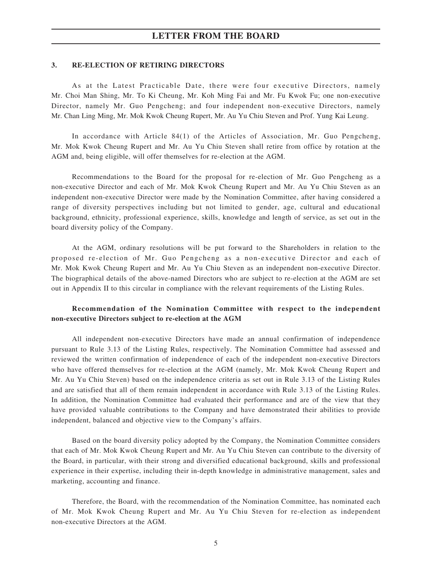## **LETTER FROM THE BOARD**

#### **3. RE-ELECTION OF RETIRING DIRECTORS**

As at the Latest Practicable Date, there were four executive Directors, namely Mr. Choi Man Shing, Mr. To Ki Cheung, Mr. Koh Ming Fai and Mr. Fu Kwok Fu; one non-executive Director, namely Mr. Guo Pengcheng; and four independent non-executive Directors, namely Mr. Chan Ling Ming, Mr. Mok Kwok Cheung Rupert, Mr. Au Yu Chiu Steven and Prof. Yung Kai Leung.

In accordance with Article 84(1) of the Articles of Association, Mr. Guo Pengcheng, Mr. Mok Kwok Cheung Rupert and Mr. Au Yu Chiu Steven shall retire from office by rotation at the AGM and, being eligible, will offer themselves for re-election at the AGM.

Recommendations to the Board for the proposal for re-election of Mr. Guo Pengcheng as a non-executive Director and each of Mr. Mok Kwok Cheung Rupert and Mr. Au Yu Chiu Steven as an independent non-executive Director were made by the Nomination Committee, after having considered a range of diversity perspectives including but not limited to gender, age, cultural and educational background, ethnicity, professional experience, skills, knowledge and length of service, as set out in the board diversity policy of the Company.

At the AGM, ordinary resolutions will be put forward to the Shareholders in relation to the proposed re-election of Mr. Guo Pengcheng as a non-executive Director and each of Mr. Mok Kwok Cheung Rupert and Mr. Au Yu Chiu Steven as an independent non-executive Director. The biographical details of the above-named Directors who are subject to re-election at the AGM are set out in Appendix II to this circular in compliance with the relevant requirements of the Listing Rules.

### **Recommendation of the Nomination Committee with respect to the independent non-executive Directors subject to re-election at the AGM**

All independent non-executive Directors have made an annual confirmation of independence pursuant to Rule 3.13 of the Listing Rules, respectively. The Nomination Committee had assessed and reviewed the written confirmation of independence of each of the independent non-executive Directors who have offered themselves for re-election at the AGM (namely, Mr. Mok Kwok Cheung Rupert and Mr. Au Yu Chiu Steven) based on the independence criteria as set out in Rule 3.13 of the Listing Rules and are satisfied that all of them remain independent in accordance with Rule 3.13 of the Listing Rules. In addition, the Nomination Committee had evaluated their performance and are of the view that they have provided valuable contributions to the Company and have demonstrated their abilities to provide independent, balanced and objective view to the Company's affairs.

Based on the board diversity policy adopted by the Company, the Nomination Committee considers that each of Mr. Mok Kwok Cheung Rupert and Mr. Au Yu Chiu Steven can contribute to the diversity of the Board, in particular, with their strong and diversified educational background, skills and professional experience in their expertise, including their in-depth knowledge in administrative management, sales and marketing, accounting and finance.

Therefore, the Board, with the recommendation of the Nomination Committee, has nominated each of Mr. Mok Kwok Cheung Rupert and Mr. Au Yu Chiu Steven for re-election as independent non-executive Directors at the AGM.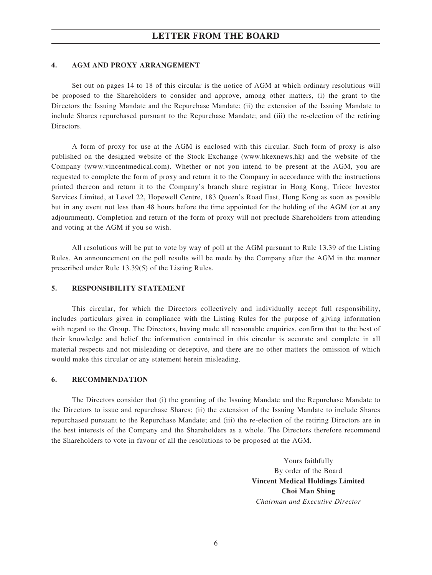## **LETTER FROM THE BOARD**

#### **4. AGM AND PROXY ARRANGEMENT**

Set out on pages 14 to 18 of this circular is the notice of AGM at which ordinary resolutions will be proposed to the Shareholders to consider and approve, among other matters, (i) the grant to the Directors the Issuing Mandate and the Repurchase Mandate; (ii) the extension of the Issuing Mandate to include Shares repurchased pursuant to the Repurchase Mandate; and (iii) the re-election of the retiring Directors.

A form of proxy for use at the AGM is enclosed with this circular. Such form of proxy is also published on the designed website of the Stock Exchange (www.hkexnews.hk) and the website of the Company (www.vincentmedical.com). Whether or not you intend to be present at the AGM, you are requested to complete the form of proxy and return it to the Company in accordance with the instructions printed thereon and return it to the Company's branch share registrar in Hong Kong, Tricor Investor Services Limited, at Level 22, Hopewell Centre, 183 Queen's Road East, Hong Kong as soon as possible but in any event not less than 48 hours before the time appointed for the holding of the AGM (or at any adjournment). Completion and return of the form of proxy will not preclude Shareholders from attending and voting at the AGM if you so wish.

All resolutions will be put to vote by way of poll at the AGM pursuant to Rule 13.39 of the Listing Rules. An announcement on the poll results will be made by the Company after the AGM in the manner prescribed under Rule 13.39(5) of the Listing Rules.

#### **5. RESPONSIBILITY STATEMENT**

This circular, for which the Directors collectively and individually accept full responsibility, includes particulars given in compliance with the Listing Rules for the purpose of giving information with regard to the Group. The Directors, having made all reasonable enquiries, confirm that to the best of their knowledge and belief the information contained in this circular is accurate and complete in all material respects and not misleading or deceptive, and there are no other matters the omission of which would make this circular or any statement herein misleading.

#### **6. RECOMMENDATION**

The Directors consider that (i) the granting of the Issuing Mandate and the Repurchase Mandate to the Directors to issue and repurchase Shares; (ii) the extension of the Issuing Mandate to include Shares repurchased pursuant to the Repurchase Mandate; and (iii) the re-election of the retiring Directors are in the best interests of the Company and the Shareholders as a whole. The Directors therefore recommend the Shareholders to vote in favour of all the resolutions to be proposed at the AGM.

> Yours faithfully By order of the Board **Vincent Medical Holdings Limited Choi Man Shing** *Chairman and Executive Director*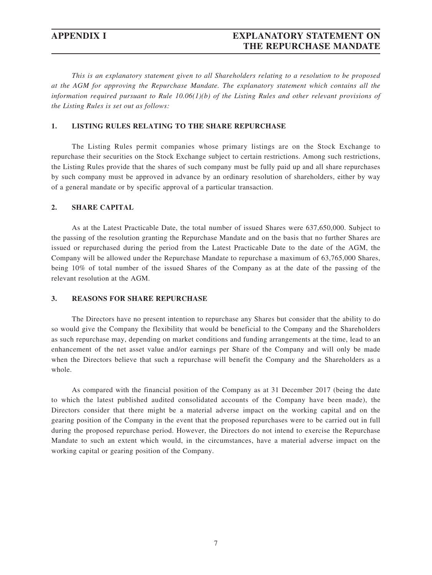# **APPENDIX I EXPLANATORY STATEMENT ON THE REPURCHASE MANDATE**

*This is an explanatory statement given to all Shareholders relating to a resolution to be proposed at the AGM for approving the Repurchase Mandate. The explanatory statement which contains all the information required pursuant to Rule 10.06(1)(b) of the Listing Rules and other relevant provisions of the Listing Rules is set out as follows:*

#### **1. LISTING RULES RELATING TO THE SHARE REPURCHASE**

The Listing Rules permit companies whose primary listings are on the Stock Exchange to repurchase their securities on the Stock Exchange subject to certain restrictions. Among such restrictions, the Listing Rules provide that the shares of such company must be fully paid up and all share repurchases by such company must be approved in advance by an ordinary resolution of shareholders, either by way of a general mandate or by specific approval of a particular transaction.

#### **2. SHARE CAPITAL**

As at the Latest Practicable Date, the total number of issued Shares were 637,650,000. Subject to the passing of the resolution granting the Repurchase Mandate and on the basis that no further Shares are issued or repurchased during the period from the Latest Practicable Date to the date of the AGM, the Company will be allowed under the Repurchase Mandate to repurchase a maximum of 63,765,000 Shares, being 10% of total number of the issued Shares of the Company as at the date of the passing of the relevant resolution at the AGM.

#### **3. REASONS FOR SHARE REPURCHASE**

The Directors have no present intention to repurchase any Shares but consider that the ability to do so would give the Company the flexibility that would be beneficial to the Company and the Shareholders as such repurchase may, depending on market conditions and funding arrangements at the time, lead to an enhancement of the net asset value and/or earnings per Share of the Company and will only be made when the Directors believe that such a repurchase will benefit the Company and the Shareholders as a whole.

As compared with the financial position of the Company as at 31 December 2017 (being the date to which the latest published audited consolidated accounts of the Company have been made), the Directors consider that there might be a material adverse impact on the working capital and on the gearing position of the Company in the event that the proposed repurchases were to be carried out in full during the proposed repurchase period. However, the Directors do not intend to exercise the Repurchase Mandate to such an extent which would, in the circumstances, have a material adverse impact on the working capital or gearing position of the Company.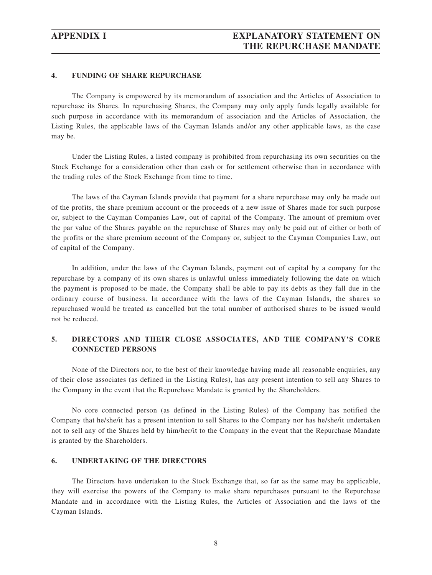#### **4. FUNDING OF SHARE REPURCHASE**

The Company is empowered by its memorandum of association and the Articles of Association to repurchase its Shares. In repurchasing Shares, the Company may only apply funds legally available for such purpose in accordance with its memorandum of association and the Articles of Association, the Listing Rules, the applicable laws of the Cayman Islands and/or any other applicable laws, as the case may be.

Under the Listing Rules, a listed company is prohibited from repurchasing its own securities on the Stock Exchange for a consideration other than cash or for settlement otherwise than in accordance with the trading rules of the Stock Exchange from time to time.

The laws of the Cayman Islands provide that payment for a share repurchase may only be made out of the profits, the share premium account or the proceeds of a new issue of Shares made for such purpose or, subject to the Cayman Companies Law, out of capital of the Company. The amount of premium over the par value of the Shares payable on the repurchase of Shares may only be paid out of either or both of the profits or the share premium account of the Company or, subject to the Cayman Companies Law, out of capital of the Company.

In addition, under the laws of the Cayman Islands, payment out of capital by a company for the repurchase by a company of its own shares is unlawful unless immediately following the date on which the payment is proposed to be made, the Company shall be able to pay its debts as they fall due in the ordinary course of business. In accordance with the laws of the Cayman Islands, the shares so repurchased would be treated as cancelled but the total number of authorised shares to be issued would not be reduced.

### **5. DIRECTORS AND THEIR CLOSE ASSOCIATES, AND THE COMPANY'S CORE CONNECTED PERSONS**

None of the Directors nor, to the best of their knowledge having made all reasonable enquiries, any of their close associates (as defined in the Listing Rules), has any present intention to sell any Shares to the Company in the event that the Repurchase Mandate is granted by the Shareholders.

No core connected person (as defined in the Listing Rules) of the Company has notified the Company that he/she/it has a present intention to sell Shares to the Company nor has he/she/it undertaken not to sell any of the Shares held by him/her/it to the Company in the event that the Repurchase Mandate is granted by the Shareholders.

#### **6. UNDERTAKING OF THE DIRECTORS**

The Directors have undertaken to the Stock Exchange that, so far as the same may be applicable, they will exercise the powers of the Company to make share repurchases pursuant to the Repurchase Mandate and in accordance with the Listing Rules, the Articles of Association and the laws of the Cayman Islands.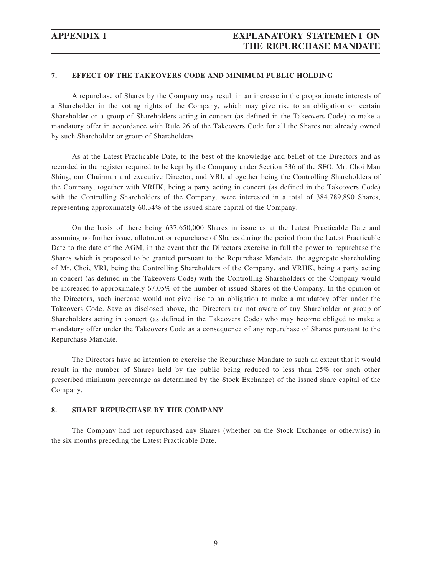### **7. EFFECT OF THE TAKEOVERS CODE AND MINIMUM PUBLIC HOLDING**

A repurchase of Shares by the Company may result in an increase in the proportionate interests of a Shareholder in the voting rights of the Company, which may give rise to an obligation on certain Shareholder or a group of Shareholders acting in concert (as defined in the Takeovers Code) to make a mandatory offer in accordance with Rule 26 of the Takeovers Code for all the Shares not already owned by such Shareholder or group of Shareholders.

As at the Latest Practicable Date, to the best of the knowledge and belief of the Directors and as recorded in the register required to be kept by the Company under Section 336 of the SFO, Mr. Choi Man Shing, our Chairman and executive Director, and VRI, altogether being the Controlling Shareholders of the Company, together with VRHK, being a party acting in concert (as defined in the Takeovers Code) with the Controlling Shareholders of the Company, were interested in a total of 384,789,890 Shares, representing approximately 60.34% of the issued share capital of the Company.

On the basis of there being 637,650,000 Shares in issue as at the Latest Practicable Date and assuming no further issue, allotment or repurchase of Shares during the period from the Latest Practicable Date to the date of the AGM, in the event that the Directors exercise in full the power to repurchase the Shares which is proposed to be granted pursuant to the Repurchase Mandate, the aggregate shareholding of Mr. Choi, VRI, being the Controlling Shareholders of the Company, and VRHK, being a party acting in concert (as defined in the Takeovers Code) with the Controlling Shareholders of the Company would be increased to approximately 67.05% of the number of issued Shares of the Company. In the opinion of the Directors, such increase would not give rise to an obligation to make a mandatory offer under the Takeovers Code. Save as disclosed above, the Directors are not aware of any Shareholder or group of Shareholders acting in concert (as defined in the Takeovers Code) who may become obliged to make a mandatory offer under the Takeovers Code as a consequence of any repurchase of Shares pursuant to the Repurchase Mandate.

The Directors have no intention to exercise the Repurchase Mandate to such an extent that it would result in the number of Shares held by the public being reduced to less than 25% (or such other prescribed minimum percentage as determined by the Stock Exchange) of the issued share capital of the Company.

#### **8. SHARE REPURCHASE BY THE COMPANY**

The Company had not repurchased any Shares (whether on the Stock Exchange or otherwise) in the six months preceding the Latest Practicable Date.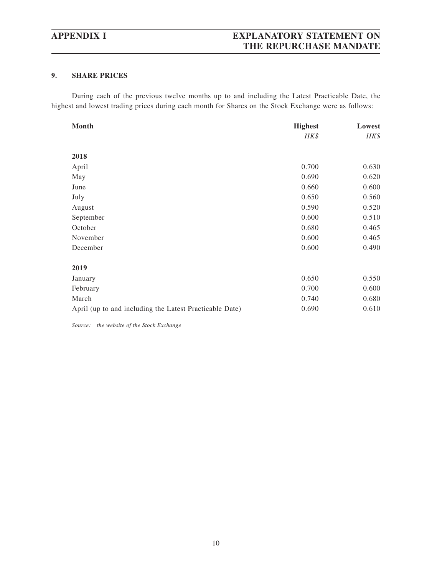# **APPENDIX I EXPLANATORY STATEMENT ON THE REPURCHASE MANDATE**

### **9. SHARE PRICES**

During each of the previous twelve months up to and including the Latest Practicable Date, the highest and lowest trading prices during each month for Shares on the Stock Exchange were as follows:

| Month                                                   | <b>Highest</b> | Lowest |  |
|---------------------------------------------------------|----------------|--------|--|
|                                                         | HK\$           | HK\$   |  |
|                                                         |                |        |  |
| 2018                                                    |                |        |  |
| April                                                   | 0.700          | 0.630  |  |
| May                                                     | 0.690          | 0.620  |  |
| June                                                    | 0.660          | 0.600  |  |
| July                                                    | 0.650          | 0.560  |  |
| August                                                  | 0.590          | 0.520  |  |
| September                                               | 0.600          | 0.510  |  |
| October                                                 | 0.680          | 0.465  |  |
| November                                                | 0.600          | 0.465  |  |
| December                                                | 0.600          | 0.490  |  |
|                                                         |                |        |  |
| 2019                                                    |                |        |  |
| January                                                 | 0.650          | 0.550  |  |
| February                                                | 0.700          | 0.600  |  |
| March                                                   | 0.740          | 0.680  |  |
| April (up to and including the Latest Practicable Date) | 0.690          | 0.610  |  |

*Source: the website of the Stock Exchange*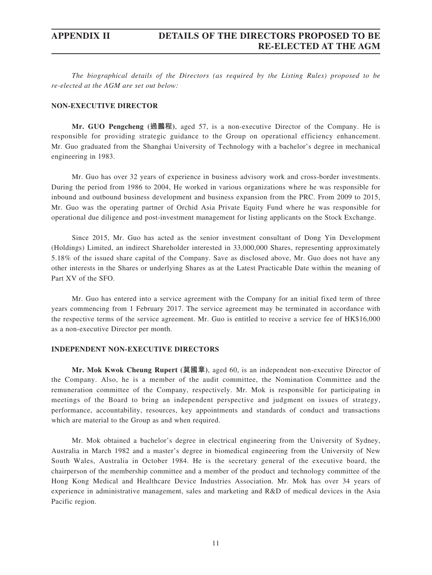*The biographical details of the Directors (as required by the Listing Rules) proposed to be re-elected at the AGM are set out below:*

#### **NON-EXECUTIVE DIRECTOR**

**Mr. GUO Pengcheng (過鵬程)**, aged 57, is a non-executive Director of the Company. He is responsible for providing strategic guidance to the Group on operational efficiency enhancement. Mr. Guo graduated from the Shanghai University of Technology with a bachelor's degree in mechanical engineering in 1983.

Mr. Guo has over 32 years of experience in business advisory work and cross-border investments. During the period from 1986 to 2004, He worked in various organizations where he was responsible for inbound and outbound business development and business expansion from the PRC. From 2009 to 2015, Mr. Guo was the operating partner of Orchid Asia Private Equity Fund where he was responsible for operational due diligence and post-investment management for listing applicants on the Stock Exchange.

Since 2015, Mr. Guo has acted as the senior investment consultant of Dong Yin Development (Holdings) Limited, an indirect Shareholder interested in 33,000,000 Shares, representing approximately 5.18% of the issued share capital of the Company. Save as disclosed above, Mr. Guo does not have any other interests in the Shares or underlying Shares as at the Latest Practicable Date within the meaning of Part XV of the SFO.

Mr. Guo has entered into a service agreement with the Company for an initial fixed term of three years commencing from 1 February 2017. The service agreement may be terminated in accordance with the respective terms of the service agreement. Mr. Guo is entitled to receive a service fee of HK\$16,000 as a non-executive Director per month.

#### **INDEPENDENT NON-EXECUTIVE DIRECTORS**

**Mr. Mok Kwok Cheung Rupert (莫國章)**, aged 60, is an independent non-executive Director of the Company. Also, he is a member of the audit committee, the Nomination Committee and the remuneration committee of the Company, respectively. Mr. Mok is responsible for participating in meetings of the Board to bring an independent perspective and judgment on issues of strategy, performance, accountability, resources, key appointments and standards of conduct and transactions which are material to the Group as and when required.

Mr. Mok obtained a bachelor's degree in electrical engineering from the University of Sydney, Australia in March 1982 and a master's degree in biomedical engineering from the University of New South Wales, Australia in October 1984. He is the secretary general of the executive board, the chairperson of the membership committee and a member of the product and technology committee of the Hong Kong Medical and Healthcare Device Industries Association. Mr. Mok has over 34 years of experience in administrative management, sales and marketing and R&D of medical devices in the Asia Pacific region.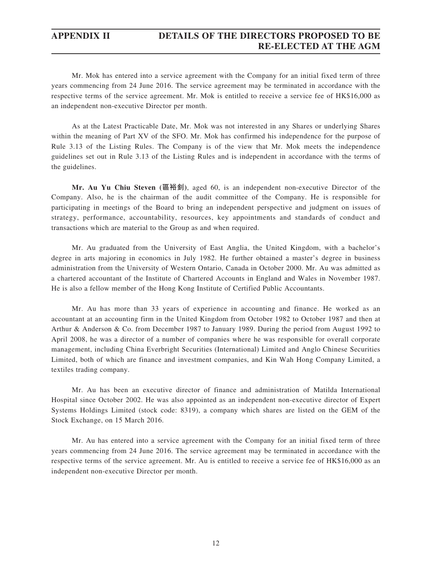## **APPENDIX II DETAILS OF THE DIRECTORS PROPOSED TO BE RE-ELECTED AT THE AGM**

Mr. Mok has entered into a service agreement with the Company for an initial fixed term of three years commencing from 24 June 2016. The service agreement may be terminated in accordance with the respective terms of the service agreement. Mr. Mok is entitled to receive a service fee of HK\$16,000 as an independent non-executive Director per month.

As at the Latest Practicable Date, Mr. Mok was not interested in any Shares or underlying Shares within the meaning of Part XV of the SFO. Mr. Mok has confirmed his independence for the purpose of Rule 3.13 of the Listing Rules. The Company is of the view that Mr. Mok meets the independence guidelines set out in Rule 3.13 of the Listing Rules and is independent in accordance with the terms of the guidelines.

**Mr. Au Yu Chiu Steven (區裕釗)**, aged 60, is an independent non-executive Director of the Company. Also, he is the chairman of the audit committee of the Company. He is responsible for participating in meetings of the Board to bring an independent perspective and judgment on issues of strategy, performance, accountability, resources, key appointments and standards of conduct and transactions which are material to the Group as and when required.

Mr. Au graduated from the University of East Anglia, the United Kingdom, with a bachelor's degree in arts majoring in economics in July 1982. He further obtained a master's degree in business administration from the University of Western Ontario, Canada in October 2000. Mr. Au was admitted as a chartered accountant of the Institute of Chartered Accounts in England and Wales in November 1987. He is also a fellow member of the Hong Kong Institute of Certified Public Accountants.

Mr. Au has more than 33 years of experience in accounting and finance. He worked as an accountant at an accounting firm in the United Kingdom from October 1982 to October 1987 and then at Arthur & Anderson & Co. from December 1987 to January 1989. During the period from August 1992 to April 2008, he was a director of a number of companies where he was responsible for overall corporate management, including China Everbright Securities (International) Limited and Anglo Chinese Securities Limited, both of which are finance and investment companies, and Kin Wah Hong Company Limited, a textiles trading company.

Mr. Au has been an executive director of finance and administration of Matilda International Hospital since October 2002. He was also appointed as an independent non-executive director of Expert Systems Holdings Limited (stock code: 8319), a company which shares are listed on the GEM of the Stock Exchange, on 15 March 2016.

Mr. Au has entered into a service agreement with the Company for an initial fixed term of three years commencing from 24 June 2016. The service agreement may be terminated in accordance with the respective terms of the service agreement. Mr. Au is entitled to receive a service fee of HK\$16,000 as an independent non-executive Director per month.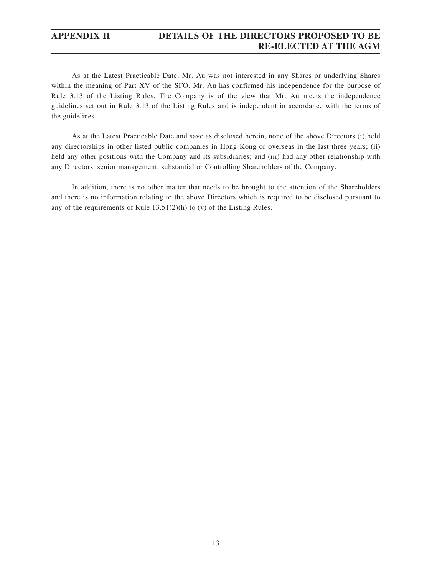## **APPENDIX II DETAILS OF THE DIRECTORS PROPOSED TO BE RE-ELECTED AT THE AGM**

As at the Latest Practicable Date, Mr. Au was not interested in any Shares or underlying Shares within the meaning of Part XV of the SFO. Mr. Au has confirmed his independence for the purpose of Rule 3.13 of the Listing Rules. The Company is of the view that Mr. Au meets the independence guidelines set out in Rule 3.13 of the Listing Rules and is independent in accordance with the terms of the guidelines.

As at the Latest Practicable Date and save as disclosed herein, none of the above Directors (i) held any directorships in other listed public companies in Hong Kong or overseas in the last three years; (ii) held any other positions with the Company and its subsidiaries; and (iii) had any other relationship with any Directors, senior management, substantial or Controlling Shareholders of the Company.

In addition, there is no other matter that needs to be brought to the attention of the Shareholders and there is no information relating to the above Directors which is required to be disclosed pursuant to any of the requirements of Rule 13.51(2)(h) to (v) of the Listing Rules.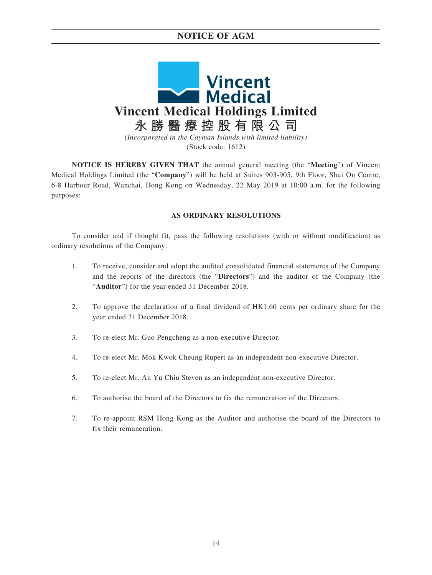# **NOTICE OF AGM**



**NOTICE IS HEREBY GIVEN THAT** the annual general meeting (the "**Meeting**") of Vincent Medical Holdings Limited (the "**Company**") will be held at Suites 903-905, 9th Floor, Shui On Centre, 6-8 Harbour Road, Wanchai, Hong Kong on Wednesday, 22 May 2019 at 10:00 a.m. for the following purposes:

#### **AS ORDINARY RESOLUTIONS**

To consider and if thought fit, pass the following resolutions (with or without modification) as ordinary resolutions of the Company:

- 1. To receive, consider and adopt the audited consolidated financial statements of the Company and the reports of the directors (the "**Directors**") and the auditor of the Company (the "**Auditor**") for the year ended 31 December 2018.
- 2. To approve the declaration of a final dividend of HK1.60 cents per ordinary share for the year ended 31 December 2018.
- 3. To re-elect Mr. Guo Pengcheng as a non-executive Director.
- 4. To re-elect Mr. Mok Kwok Cheung Rupert as an independent non-executive Director.
- 5. To re-elect Mr. Au Yu Chiu Steven as an independent non-executive Director.
- 6. To authorise the board of the Directors to fix the remuneration of the Directors.
- 7. To re-appoint RSM Hong Kong as the Auditor and authorise the board of the Directors to fix their remuneration.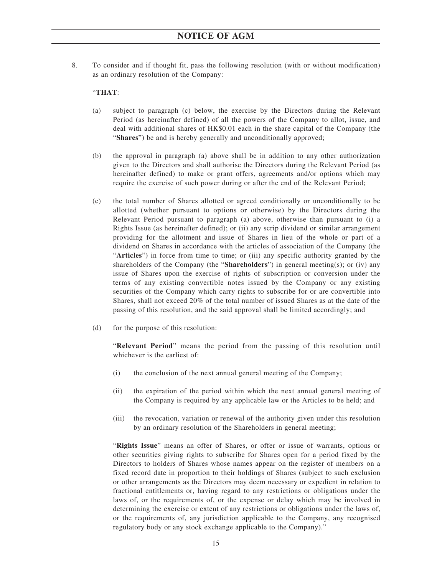8. To consider and if thought fit, pass the following resolution (with or without modification) as an ordinary resolution of the Company:

### "**THAT**:

- (a) subject to paragraph (c) below, the exercise by the Directors during the Relevant Period (as hereinafter defined) of all the powers of the Company to allot, issue, and deal with additional shares of HK\$0.01 each in the share capital of the Company (the "**Shares**") be and is hereby generally and unconditionally approved;
- (b) the approval in paragraph (a) above shall be in addition to any other authorization given to the Directors and shall authorise the Directors during the Relevant Period (as hereinafter defined) to make or grant offers, agreements and/or options which may require the exercise of such power during or after the end of the Relevant Period;
- (c) the total number of Shares allotted or agreed conditionally or unconditionally to be allotted (whether pursuant to options or otherwise) by the Directors during the Relevant Period pursuant to paragraph (a) above, otherwise than pursuant to (i) a Rights Issue (as hereinafter defined); or (ii) any scrip dividend or similar arrangement providing for the allotment and issue of Shares in lieu of the whole or part of a dividend on Shares in accordance with the articles of association of the Company (the "**Articles**") in force from time to time; or (iii) any specific authority granted by the shareholders of the Company (the "**Shareholders**") in general meeting(s); or (iv) any issue of Shares upon the exercise of rights of subscription or conversion under the terms of any existing convertible notes issued by the Company or any existing securities of the Company which carry rights to subscribe for or are convertible into Shares, shall not exceed 20% of the total number of issued Shares as at the date of the passing of this resolution, and the said approval shall be limited accordingly; and
- (d) for the purpose of this resolution:

"**Relevant Period**" means the period from the passing of this resolution until whichever is the earliest of:

- (i) the conclusion of the next annual general meeting of the Company;
- (ii) the expiration of the period within which the next annual general meeting of the Company is required by any applicable law or the Articles to be held; and
- (iii) the revocation, variation or renewal of the authority given under this resolution by an ordinary resolution of the Shareholders in general meeting;

"**Rights Issue**" means an offer of Shares, or offer or issue of warrants, options or other securities giving rights to subscribe for Shares open for a period fixed by the Directors to holders of Shares whose names appear on the register of members on a fixed record date in proportion to their holdings of Shares (subject to such exclusion or other arrangements as the Directors may deem necessary or expedient in relation to fractional entitlements or, having regard to any restrictions or obligations under the laws of, or the requirements of, or the expense or delay which may be involved in determining the exercise or extent of any restrictions or obligations under the laws of, or the requirements of, any jurisdiction applicable to the Company, any recognised regulatory body or any stock exchange applicable to the Company)."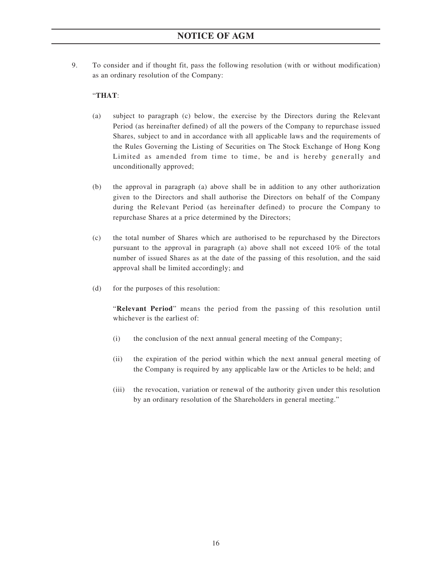9. To consider and if thought fit, pass the following resolution (with or without modification) as an ordinary resolution of the Company:

### "**THAT**:

- (a) subject to paragraph (c) below, the exercise by the Directors during the Relevant Period (as hereinafter defined) of all the powers of the Company to repurchase issued Shares, subject to and in accordance with all applicable laws and the requirements of the Rules Governing the Listing of Securities on The Stock Exchange of Hong Kong Limited as amended from time to time, be and is hereby generally and unconditionally approved;
- (b) the approval in paragraph (a) above shall be in addition to any other authorization given to the Directors and shall authorise the Directors on behalf of the Company during the Relevant Period (as hereinafter defined) to procure the Company to repurchase Shares at a price determined by the Directors;
- (c) the total number of Shares which are authorised to be repurchased by the Directors pursuant to the approval in paragraph (a) above shall not exceed 10% of the total number of issued Shares as at the date of the passing of this resolution, and the said approval shall be limited accordingly; and
- (d) for the purposes of this resolution:

"**Relevant Period**" means the period from the passing of this resolution until whichever is the earliest of:

- (i) the conclusion of the next annual general meeting of the Company;
- (ii) the expiration of the period within which the next annual general meeting of the Company is required by any applicable law or the Articles to be held; and
- (iii) the revocation, variation or renewal of the authority given under this resolution by an ordinary resolution of the Shareholders in general meeting."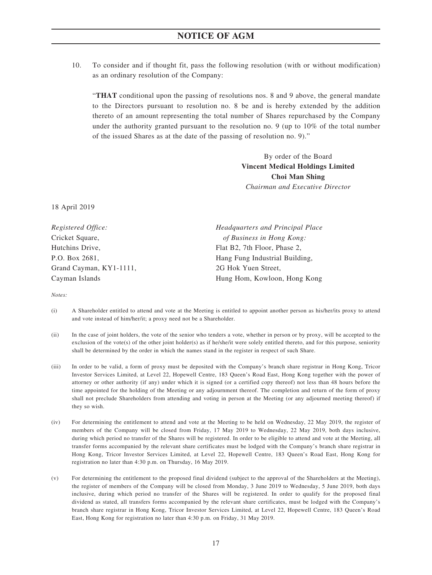10. To consider and if thought fit, pass the following resolution (with or without modification) as an ordinary resolution of the Company:

"**THAT** conditional upon the passing of resolutions nos. 8 and 9 above, the general mandate to the Directors pursuant to resolution no. 8 be and is hereby extended by the addition thereto of an amount representing the total number of Shares repurchased by the Company under the authority granted pursuant to the resolution no. 9 (up to 10% of the total number of the issued Shares as at the date of the passing of resolution no. 9)."

> By order of the Board **Vincent Medical Holdings Limited Choi Man Shing** *Chairman and Executive Director*

18 April 2019

| Headquarters and Principal Place |  |  |
|----------------------------------|--|--|
| of Business in Hong Kong:        |  |  |
| Flat B2, 7th Floor, Phase 2,     |  |  |
| Hang Fung Industrial Building,   |  |  |
| 2G Hok Yuen Street,              |  |  |
| Hung Hom, Kowloon, Hong Kong     |  |  |
|                                  |  |  |

*Notes:*

- (i) A Shareholder entitled to attend and vote at the Meeting is entitled to appoint another person as his/her/its proxy to attend and vote instead of him/her/it; a proxy need not be a Shareholder.
- (ii) In the case of joint holders, the vote of the senior who tenders a vote, whether in person or by proxy, will be accepted to the exclusion of the vote(s) of the other joint holder(s) as if he/she/it were solely entitled thereto, and for this purpose, seniority shall be determined by the order in which the names stand in the register in respect of such Share.
- (iii) In order to be valid, a form of proxy must be deposited with the Company's branch share registrar in Hong Kong, Tricor Investor Services Limited, at Level 22, Hopewell Centre, 183 Queen's Road East, Hong Kong together with the power of attorney or other authority (if any) under which it is signed (or a certified copy thereof) not less than 48 hours before the time appointed for the holding of the Meeting or any adjournment thereof. The completion and return of the form of proxy shall not preclude Shareholders from attending and voting in person at the Meeting (or any adjourned meeting thereof) if they so wish.
- (iv) For determining the entitlement to attend and vote at the Meeting to be held on Wednesday, 22 May 2019, the register of members of the Company will be closed from Friday, 17 May 2019 to Wednesday, 22 May 2019, both days inclusive, during which period no transfer of the Shares will be registered. In order to be eligible to attend and vote at the Meeting, all transfer forms accompanied by the relevant share certificates must be lodged with the Company's branch share registrar in Hong Kong, Tricor Investor Services Limited, at Level 22, Hopewell Centre, 183 Queen's Road East, Hong Kong for registration no later than 4:30 p.m. on Thursday, 16 May 2019.
- (v) For determining the entitlement to the proposed final dividend (subject to the approval of the Shareholders at the Meeting), the register of members of the Company will be closed from Monday, 3 June 2019 to Wednesday, 5 June 2019, both days inclusive, during which period no transfer of the Shares will be registered. In order to qualify for the proposed final dividend as stated, all transfers forms accompanied by the relevant share certificates, must be lodged with the Company's branch share registrar in Hong Kong, Tricor Investor Services Limited, at Level 22, Hopewell Centre, 183 Queen's Road East, Hong Kong for registration no later than 4:30 p.m. on Friday, 31 May 2019.